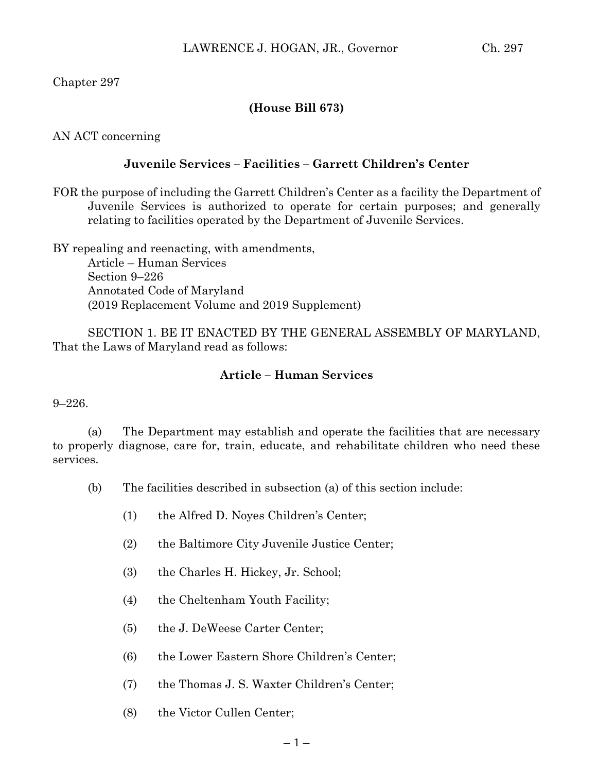## Chapter 297

## **(House Bill 673)**

AN ACT concerning

## **Juvenile Services – Facilities – Garrett Children's Center**

FOR the purpose of including the Garrett Children's Center as a facility the Department of Juvenile Services is authorized to operate for certain purposes; and generally relating to facilities operated by the Department of Juvenile Services.

BY repealing and reenacting, with amendments,

Article – Human Services Section 9–226 Annotated Code of Maryland (2019 Replacement Volume and 2019 Supplement)

SECTION 1. BE IT ENACTED BY THE GENERAL ASSEMBLY OF MARYLAND, That the Laws of Maryland read as follows:

## **Article – Human Services**

9–226.

(a) The Department may establish and operate the facilities that are necessary to properly diagnose, care for, train, educate, and rehabilitate children who need these services.

- (b) The facilities described in subsection (a) of this section include:
	- (1) the Alfred D. Noyes Children's Center;
	- (2) the Baltimore City Juvenile Justice Center;
	- (3) the Charles H. Hickey, Jr. School;
	- (4) the Cheltenham Youth Facility;
	- (5) the J. DeWeese Carter Center;
	- (6) the Lower Eastern Shore Children's Center;
	- (7) the Thomas J. S. Waxter Children's Center;
	- (8) the Victor Cullen Center;